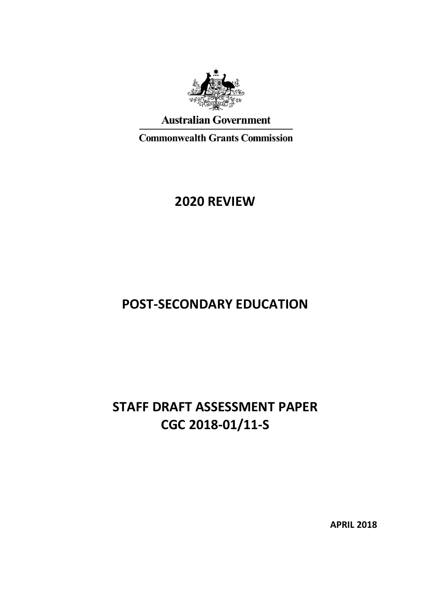

## **Australian Government**

**Commonwealth Grants Commission** 

## **2020 REVIEW**

# **POST-SECONDARY EDUCATION**

# **STAFF DRAFT ASSESSMENT PAPER CGC 2018-01/11-S**

**APRIL 2018**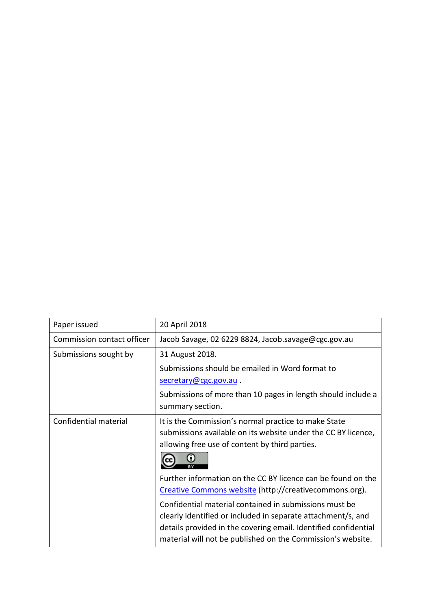| Paper issued               | 20 April 2018                                                                                                                                                                                                                                            |
|----------------------------|----------------------------------------------------------------------------------------------------------------------------------------------------------------------------------------------------------------------------------------------------------|
| Commission contact officer | Jacob Savage, 02 6229 8824, Jacob.savage@cgc.gov.au                                                                                                                                                                                                      |
| Submissions sought by      | 31 August 2018.                                                                                                                                                                                                                                          |
|                            | Submissions should be emailed in Word format to                                                                                                                                                                                                          |
|                            | secretary@cgc.gov.au.                                                                                                                                                                                                                                    |
|                            | Submissions of more than 10 pages in length should include a                                                                                                                                                                                             |
|                            | summary section.                                                                                                                                                                                                                                         |
| Confidential material      | It is the Commission's normal practice to make State<br>submissions available on its website under the CC BY licence,<br>allowing free use of content by third parties.                                                                                  |
|                            | Further information on the CC BY licence can be found on the<br>Creative Commons website (http://creativecommons.org).                                                                                                                                   |
|                            | Confidential material contained in submissions must be<br>clearly identified or included in separate attachment/s, and<br>details provided in the covering email. Identified confidential<br>material will not be published on the Commission's website. |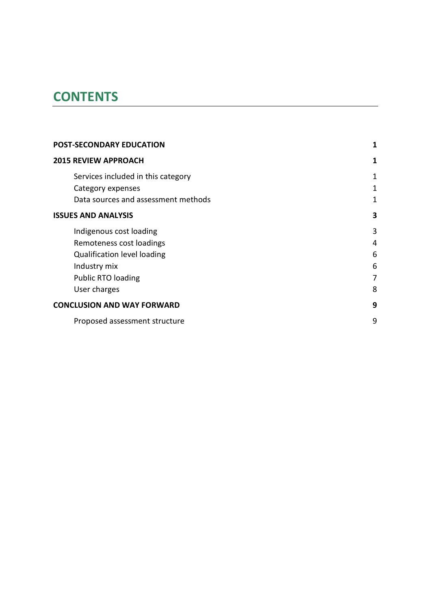# **CONTENTS**

| <b>POST-SECONDARY EDUCATION</b>     | 1 |
|-------------------------------------|---|
| <b>2015 REVIEW APPROACH</b>         | 1 |
| Services included in this category  | 1 |
| Category expenses                   | 1 |
| Data sources and assessment methods | 1 |
| <b>ISSUES AND ANALYSIS</b>          | 3 |
| Indigenous cost loading             | 3 |
| Remoteness cost loadings            | 4 |
| <b>Qualification level loading</b>  | 6 |
| Industry mix                        | 6 |
| <b>Public RTO loading</b>           | 7 |
| User charges                        | 8 |
| <b>CONCLUSION AND WAY FORWARD</b>   | 9 |
| Proposed assessment structure       | 9 |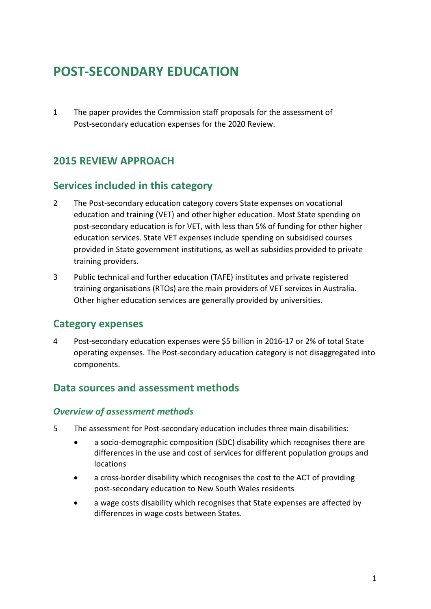# <span id="page-3-0"></span>**POST-SECONDARY EDUCATION**

1 The paper provides the Commission staff proposals for the assessment of Post-secondary education expenses for the 2020 Review.

## <span id="page-3-1"></span>**2015 REVIEW APPROACH**

### <span id="page-3-2"></span>**Services included in this category**

- 2 The Post-secondary education category covers State expenses on vocational education and training (VET) and other higher education. Most State spending on post-secondary education is for VET, with less than 5% of funding for other higher education services. State VET expenses include spending on subsidised courses provided in State government institutions, as well as subsidies provided to private training providers.
- 3 Public technical and further education (TAFE) institutes and private registered training organisations (RTOs) are the main providers of VET services in Australia. Other higher education services are generally provided by universities.

### <span id="page-3-3"></span>**Category expenses**

4 Post-secondary education expenses were \$5 billion in 2016-17 or 2% of total State operating expenses. The Post-secondary education category is not disaggregated into components.

## <span id="page-3-4"></span>**Data sources and assessment methods**

#### *Overview of assessment methods*

- 5 The assessment for Post-secondary education includes three main disabilities:
	- a socio-demographic composition (SDC) disability which recognises there are differences in the use and cost of services for different population groups and locations
	- a cross-border disability which recognises the cost to the ACT of providing post-secondary education to New South Wales residents
	- a wage costs disability which recognises that State expenses are affected by differences in wage costs between States.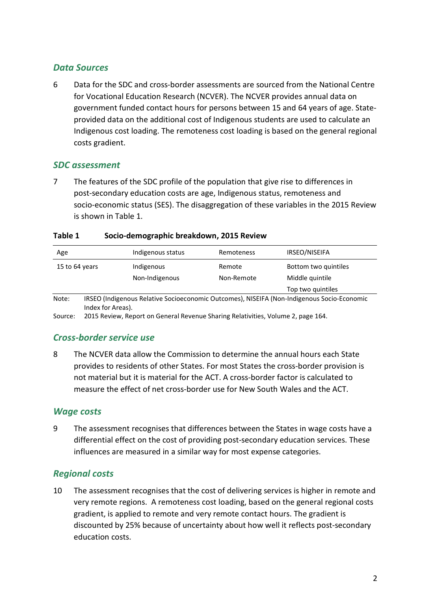#### *Data Sources*

6 Data for the SDC and cross-border assessments are sourced from the National Centre for Vocational Education Research (NCVER). The NCVER provides annual data on government funded contact hours for persons between 15 and 64 years of age. Stateprovided data on the additional cost of Indigenous students are used to calculate an Indigenous cost loading. The remoteness cost loading is based on the general regional costs gradient.

#### *SDC assessment*

7 The features of the SDC profile of the population that give rise to differences in post-secondary education costs are age, Indigenous status, remoteness and socio-economic status (SES). The disaggregation of these variables in the 2015 Review is shown in [Table 1.](#page-4-0)

<span id="page-4-0"></span>

| Table 1 | Socio-demographic breakdown, 2015 Review |  |
|---------|------------------------------------------|--|
|         |                                          |  |

| Age            | Indigenous status | Remoteness | IRSEO/NISEIFA                                                                              |
|----------------|-------------------|------------|--------------------------------------------------------------------------------------------|
| 15 to 64 years | Indigenous        | Remote     | Bottom two quintiles                                                                       |
|                | Non-Indigenous    | Non-Remote | Middle quintile                                                                            |
|                |                   |            | Top two quintiles                                                                          |
| Note:          |                   |            | IRSEO (Indigenous Relative Socioeconomic Outcomes), NISEIFA (Non-Indigenous Socio-Economic |

Index for Areas).

Source: 2015 Review, Report on General Revenue Sharing Relativities, Volume 2, page 164.

### *Cross-border service use*

8 The NCVER data allow the Commission to determine the annual hours each State provides to residents of other States. For most States the cross-border provision is not material but it is material for the ACT. A cross-border factor is calculated to measure the effect of net cross-border use for New South Wales and the ACT.

#### *Wage costs*

9 The assessment recognises that differences between the States in wage costs have a differential effect on the cost of providing post-secondary education services. These influences are measured in a similar way for most expense categories.

#### *Regional costs*

10 The assessment recognises that the cost of delivering services is higher in remote and very remote regions. A remoteness cost loading, based on the general regional costs gradient, is applied to remote and very remote contact hours. The gradient is discounted by 25% because of uncertainty about how well it reflects post-secondary education costs.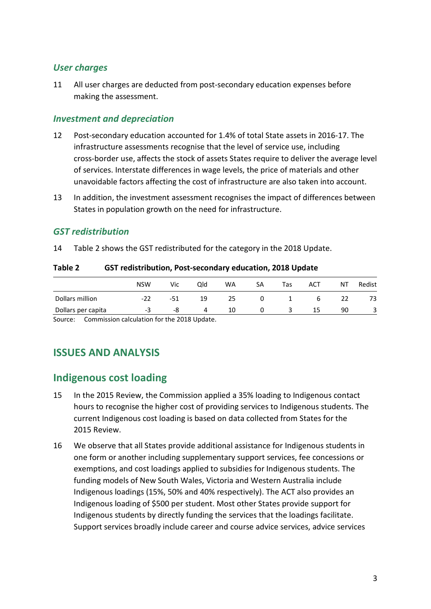#### *User charges*

11 All user charges are deducted from post-secondary education expenses before making the assessment.

#### *Investment and depreciation*

- 12 Post-secondary education accounted for 1.4% of total State assets in 2016-17. The infrastructure assessments recognise that the level of service use, including cross-border use, affects the stock of assets States require to deliver the average level of services. Interstate differences in wage levels, the price of materials and other unavoidable factors affecting the cost of infrastructure are also taken into account.
- 13 In addition, the investment assessment recognises the impact of differences between States in population growth on the need for infrastructure.

#### *GST redistribution*

14 [Table 2](#page-5-2) shows the GST redistributed for the category in the 2018 Update.

<span id="page-5-2"></span>

|                    | <b>NSW</b> | Vic | Old | WA | SA | Tas | ACT | ΝT | Redist |
|--------------------|------------|-----|-----|----|----|-----|-----|----|--------|
| Dollars million    | -22        | -51 | 19  | 25 |    |     |     |    | 73     |
| Dollars per capita | - -        | -8  | 4   | 10 |    |     | 15  | 90 | 3      |

<span id="page-5-0"></span>Source: Commission calculation for the 2018 Update.

## **ISSUES AND ANALYSIS**

## <span id="page-5-1"></span>**Indigenous cost loading**

- 15 In the 2015 Review, the Commission applied a 35% loading to Indigenous contact hours to recognise the higher cost of providing services to Indigenous students. The current Indigenous cost loading is based on data collected from States for the 2015 Review.
- 16 We observe that all States provide additional assistance for Indigenous students in one form or another including supplementary support services, fee concessions or exemptions, and cost loadings applied to subsidies for Indigenous students. The funding models of New South Wales, Victoria and Western Australia include Indigenous loadings (15%, 50% and 40% respectively). The ACT also provides an Indigenous loading of \$500 per student. Most other States provide support for Indigenous students by directly funding the services that the loadings facilitate. Support services broadly include career and course advice services, advice services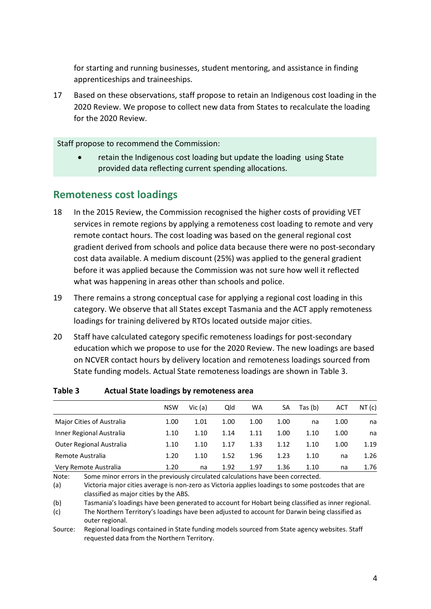for starting and running businesses, student mentoring, and assistance in finding apprenticeships and traineeships.

17 Based on these observations, staff propose to retain an Indigenous cost loading in the 2020 Review. We propose to collect new data from States to recalculate the loading for the 2020 Review.

Staff propose to recommend the Commission:

• retain the Indigenous cost loading but update the loading using State provided data reflecting current spending allocations.

## <span id="page-6-0"></span>**Remoteness cost loadings**

- 18 In the 2015 Review, the Commission recognised the higher costs of providing VET services in remote regions by applying a remoteness cost loading to remote and very remote contact hours. The cost loading was based on the general regional cost gradient derived from schools and police data because there were no post-secondary cost data available. A medium discount (25%) was applied to the general gradient before it was applied because the Commission was not sure how well it reflected what was happening in areas other than schools and police.
- 19 There remains a strong conceptual case for applying a regional cost loading in this category. We observe that all States except Tasmania and the ACT apply remoteness loadings for training delivered by RTOs located outside major cities.
- 20 Staff have calculated category specific remoteness loadings for post-secondary education which we propose to use for the 2020 Review. The new loadings are based on NCVER contact hours by delivery location and remoteness loadings sourced from State funding models. Actual State remoteness loadings are shown in [Table 3.](#page-6-1)

|                           | <b>NSW</b> | Vic (a) | Qld  | WA   | SA   | Tas (b) | ACT  | NT(c) |
|---------------------------|------------|---------|------|------|------|---------|------|-------|
| Major Cities of Australia | 1.00       | 1.01    | 1.00 | 1.00 | 1.00 | na      | 1.00 | na    |
| Inner Regional Australia  | 1.10       | 1.10    | 1.14 | 1.11 | 1.00 | 1.10    | 1.00 | na    |
| Outer Regional Australia  | 1.10       | 1.10    | 1.17 | 1.33 | 1.12 | 1.10    | 1.00 | 1.19  |
| Remote Australia          | 1.20       | 1.10    | 1.52 | 1.96 | 1.23 | 1.10    | na   | 1.26  |
| Very Remote Australia     | 1.20       | na      | 1.92 | 1.97 | 1.36 | 1.10    | na   | 1.76  |

#### <span id="page-6-1"></span>**Table 3 Actual State loadings by remoteness area**

Note: Some minor errors in the previously circulated calculations have been corrected.

(a) Victoria major cities average is non-zero as Victoria applies loadings to some postcodes that are classified as major cities by the ABS.

(b) Tasmania's loadings have been generated to account for Hobart being classified as inner regional.

(c) The Northern Territory's loadings have been adjusted to account for Darwin being classified as outer regional.

Source: Regional loadings contained in State funding models sourced from State agency websites. Staff requested data from the Northern Territory.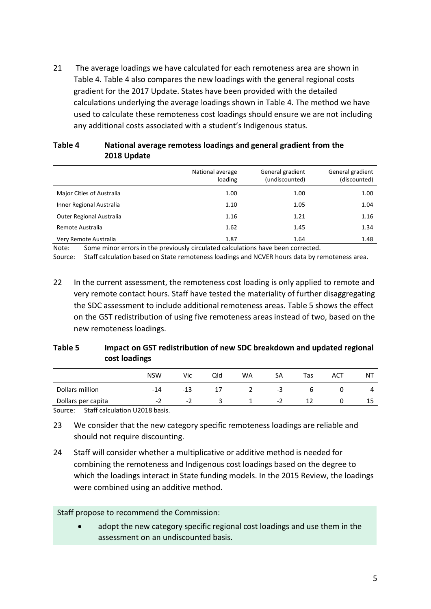21 The average loadings we have calculated for each remoteness area are shown in [Table 4. Table 4](#page-7-0) also compares the new loadings with the general regional costs gradient for the 2017 Update. States have been provided with the detailed calculations underlying the average loadings shown in [Table 4.](#page-7-0) The method we have used to calculate these remoteness cost loadings should ensure we are not including any additional costs associated with a student's Indigenous status.

<span id="page-7-0"></span>

| Table 4 | National average remotess loadings and general gradient from the |
|---------|------------------------------------------------------------------|
|         | 2018 Update                                                      |

|                           | National average<br>loading | General gradient<br>(undiscounted) | General gradient<br>(discounted) |
|---------------------------|-----------------------------|------------------------------------|----------------------------------|
| Major Cities of Australia | 1.00                        | 1.00                               | 1.00                             |
| Inner Regional Australia  | 1.10                        | 1.05                               | 1.04                             |
| Outer Regional Australia  | 1.16                        | 1.21                               | 1.16                             |
| Remote Australia          | 1.62                        | 1.45                               | 1.34                             |
| Very Remote Australia     | 1.87                        | 1.64                               | 1.48                             |

Note: Some minor errors in the previously circulated calculations have been corrected.

Source: Staff calculation based on State remoteness loadings and NCVER hours data by remoteness area.

22 In the current assessment, the remoteness cost loading is only applied to remote and very remote contact hours. Staff have tested the materiality of further disaggregating the SDC assessment to include additional remoteness areas. [Table 5](#page-7-1) shows the effect on the GST redistribution of using five remoteness areas instead of two, based on the new remoteness loadings.

<span id="page-7-1"></span>

| Table 5 | Impact on GST redistribution of new SDC breakdown and updated regional |
|---------|------------------------------------------------------------------------|
|         | cost loadings                                                          |

|                    | <b>NSW</b> | Vic | Qld | <b>WA</b> | SA | Tas | ACT | NΤ |
|--------------------|------------|-----|-----|-----------|----|-----|-----|----|
| Dollars million    | $-14$      | -13 | 17  |           | -3 |     |     | 4  |
| Dollars per capita | - 1        | - 1 |     |           | -2 |     |     | 10 |
|                    |            |     |     |           |    |     |     |    |

Source: Staff calculation U2018 basis.

- 23 We consider that the new category specific remoteness loadings are reliable and should not require discounting.
- 24 Staff will consider whether a multiplicative or additive method is needed for combining the remoteness and Indigenous cost loadings based on the degree to which the loadings interact in State funding models. In the 2015 Review, the loadings were combined using an additive method.

Staff propose to recommend the Commission:

adopt the new category specific regional cost loadings and use them in the assessment on an undiscounted basis.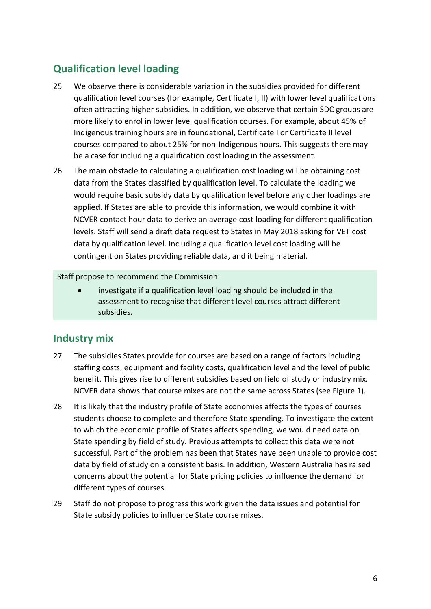## <span id="page-8-0"></span>**Qualification level loading**

- 25 We observe there is considerable variation in the subsidies provided for different qualification level courses (for example, Certificate I, II) with lower level qualifications often attracting higher subsidies. In addition, we observe that certain SDC groups are more likely to enrol in lower level qualification courses. For example, about 45% of Indigenous training hours are in foundational, Certificate I or Certificate II level courses compared to about 25% for non-Indigenous hours. This suggests there may be a case for including a qualification cost loading in the assessment.
- 26 The main obstacle to calculating a qualification cost loading will be obtaining cost data from the States classified by qualification level. To calculate the loading we would require basic subsidy data by qualification level before any other loadings are applied. If States are able to provide this information, we would combine it with NCVER contact hour data to derive an average cost loading for different qualification levels. Staff will send a draft data request to States in May 2018 asking for VET cost data by qualification level. Including a qualification level cost loading will be contingent on States providing reliable data, and it being material.

Staff propose to recommend the Commission:

• investigate if a qualification level loading should be included in the assessment to recognise that different level courses attract different subsidies.

## <span id="page-8-1"></span>**Industry mix**

- 27 The subsidies States provide for courses are based on a range of factors including staffing costs, equipment and facility costs, qualification level and the level of public benefit. This gives rise to different subsidies based on field of study or industry mix. NCVER data shows that course mixes are not the same across States (see [Figure 1\)](#page-9-1).
- 28 It is likely that the industry profile of State economies affects the types of courses students choose to complete and therefore State spending. To investigate the extent to which the economic profile of States affects spending, we would need data on State spending by field of study. Previous attempts to collect this data were not successful. Part of the problem has been that States have been unable to provide cost data by field of study on a consistent basis. In addition, Western Australia has raised concerns about the potential for State pricing policies to influence the demand for different types of courses.
- 29 Staff do not propose to progress this work given the data issues and potential for State subsidy policies to influence State course mixes.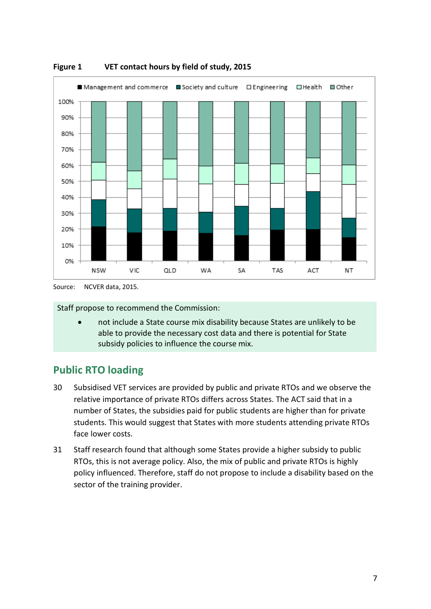

<span id="page-9-1"></span>

Staff propose to recommend the Commission:

• not include a State course mix disability because States are unlikely to be able to provide the necessary cost data and there is potential for State subsidy policies to influence the course mix.

## <span id="page-9-0"></span>**Public RTO loading**

- 30 Subsidised VET services are provided by public and private RTOs and we observe the relative importance of private RTOs differs across States. The ACT said that in a number of States, the subsidies paid for public students are higher than for private students. This would suggest that States with more students attending private RTOs face lower costs.
- 31 Staff research found that although some States provide a higher subsidy to public RTOs, this is not average policy. Also, the mix of public and private RTOs is highly policy influenced. Therefore, staff do not propose to include a disability based on the sector of the training provider.

Source: NCVER data, 2015.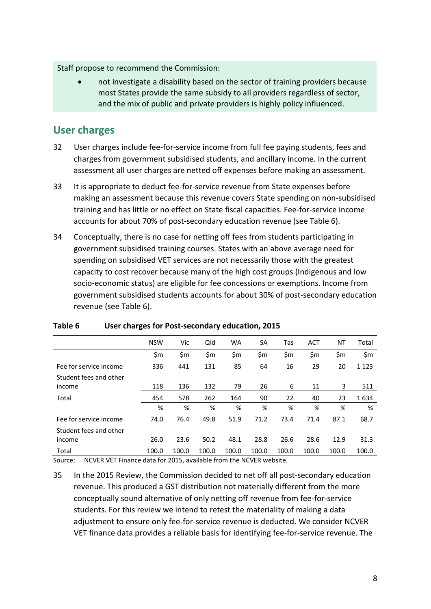#### Staff propose to recommend the Commission:

• not investigate a disability based on the sector of training providers because most States provide the same subsidy to all providers regardless of sector, and the mix of public and private providers is highly policy influenced.

## <span id="page-10-0"></span>**User charges**

- 32 User charges include fee-for-service income from full fee paying students, fees and charges from government subsidised students, and ancillary income. In the current assessment all user charges are netted off expenses before making an assessment.
- 33 It is appropriate to deduct fee-for-service revenue from State expenses before making an assessment because this revenue covers State spending on non-subsidised training and has little or no effect on State fiscal capacities. Fee-for-service income accounts for about 70% of post-secondary education revenue (see [Table 6\)](#page-10-1).
- 34 Conceptually, there is no case for netting off fees from students participating in government subsidised training courses. States with an above average need for spending on subsidised VET services are not necessarily those with the greatest capacity to cost recover because many of the high cost groups (Indigenous and low socio-economic status) are eligible for fee concessions or exemptions. Income from government subsidised students accounts for about 30% of post-secondary education revenue (see [Table 6\)](#page-10-1).

|                                                                          | <b>NSW</b> | Vic   | Qld   | <b>WA</b> | SA    | Tas   | <b>ACT</b> | NT    | Total   |
|--------------------------------------------------------------------------|------------|-------|-------|-----------|-------|-------|------------|-------|---------|
|                                                                          | \$m        | \$m   | \$m   | \$m       | \$m   | \$m   | \$m        | \$m   | \$m     |
| Fee for service income                                                   | 336        | 441   | 131   | 85        | 64    | 16    | 29         | 20    | 1 1 2 3 |
| Student fees and other                                                   |            |       |       |           |       |       |            |       |         |
| income                                                                   | 118        | 136   | 132   | 79        | 26    | 6     | 11         | 3     | 511     |
| Total                                                                    | 454        | 578   | 262   | 164       | 90    | 22    | 40         | 23    | 1634    |
|                                                                          | %          | %     | %     | %         | %     | %     | %          | %     | %       |
| Fee for service income                                                   | 74.0       | 76.4  | 49.8  | 51.9      | 71.2  | 73.4  | 71.4       | 87.1  | 68.7    |
| Student fees and other                                                   |            |       |       |           |       |       |            |       |         |
| income                                                                   | 26.0       | 23.6  | 50.2  | 48.1      | 28.8  | 26.6  | 28.6       | 12.9  | 31.3    |
| Total                                                                    | 100.0      | 100.0 | 100.0 | 100.0     | 100.0 | 100.0 | 100.0      | 100.0 | 100.0   |
| $\blacksquare$<br>$\mathbf{A}$ is a set of $\mathbf{A}$<br>$\sim$ $\sim$ |            |       |       |           |       |       |            |       |         |

#### <span id="page-10-1"></span>**Table 6 User charges for Post-secondary education, 2015**

Source: NCVER VET Finance data for 2015, available from the NCVER website.

35 In the 2015 Review, the Commission decided to net off all post-secondary education revenue. This produced a GST distribution not materially different from the more conceptually sound alternative of only netting off revenue from fee-for-service students. For this review we intend to retest the materiality of making a data adjustment to ensure only fee-for-service revenue is deducted. We consider NCVER VET finance data provides a reliable basis for identifying fee-for-service revenue. The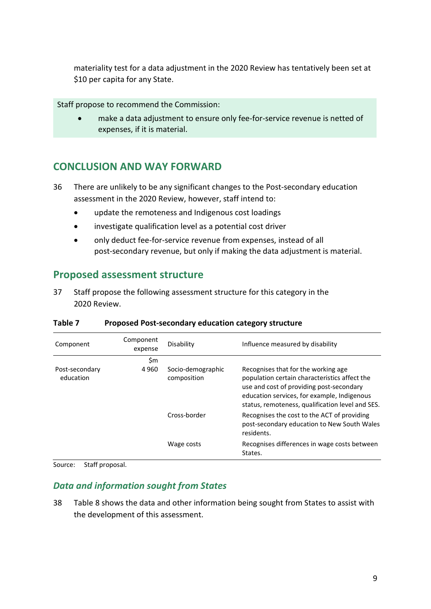materiality test for a data adjustment in the 2020 Review has tentatively been set at \$10 per capita for any State.

Staff propose to recommend the Commission:

• make a data adjustment to ensure only fee-for-service revenue is netted of expenses, if it is material.

## <span id="page-11-0"></span>**CONCLUSION AND WAY FORWARD**

- 36 There are unlikely to be any significant changes to the Post-secondary education assessment in the 2020 Review, however, staff intend to:
	- update the remoteness and Indigenous cost loadings
	- investigate qualification level as a potential cost driver
	- only deduct fee-for-service revenue from expenses, instead of all post-secondary revenue, but only if making the data adjustment is material.

### <span id="page-11-1"></span>**Proposed assessment structure**

37 Staff propose the following assessment structure for this category in the 2020 Review.

| Component                   | Component<br>expense | Disability                       | Influence measured by disability                                                                                                                                                                                                    |
|-----------------------------|----------------------|----------------------------------|-------------------------------------------------------------------------------------------------------------------------------------------------------------------------------------------------------------------------------------|
|                             | \$m                  |                                  |                                                                                                                                                                                                                                     |
| Post-secondary<br>education | 4960                 | Socio-demographic<br>composition | Recognises that for the working age<br>population certain characteristics affect the<br>use and cost of providing post-secondary<br>education services, for example, Indigenous<br>status, remoteness, qualification level and SES. |
|                             |                      | Cross-border                     | Recognises the cost to the ACT of providing<br>post-secondary education to New South Wales<br>residents.                                                                                                                            |
|                             |                      | Wage costs                       | Recognises differences in wage costs between<br>States.                                                                                                                                                                             |

#### **Table 7 Proposed Post-secondary education category structure**

Source: Staff proposal.

#### *Data and information sought from States*

38 [Table 8](#page-12-0) shows the data and other information being sought from States to assist with the development of this assessment.